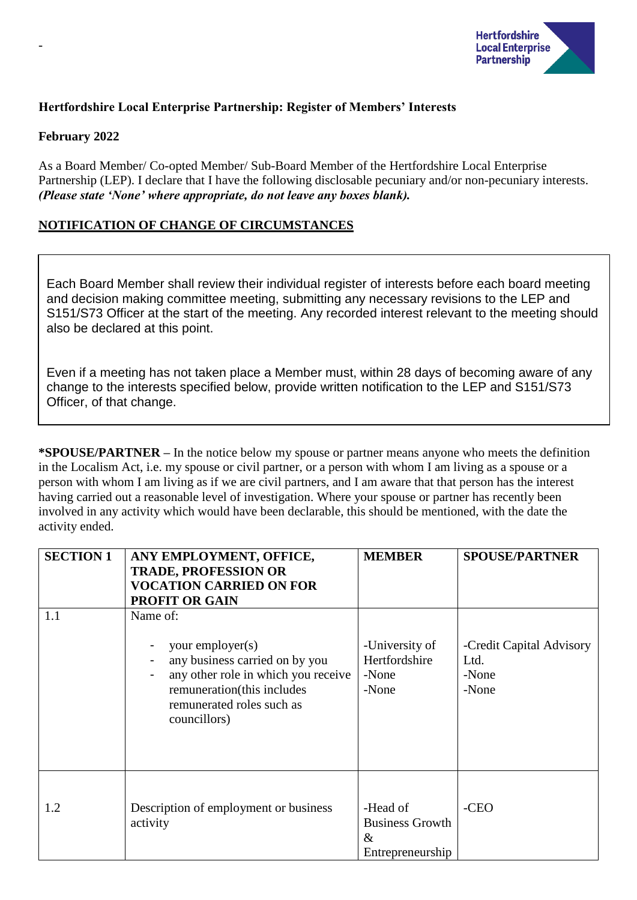

# **Hertfordshire Local Enterprise Partnership: Register of Members' Interests**

#### **February 2022**

-

As a Board Member/ Co-opted Member/ Sub-Board Member of the Hertfordshire Local Enterprise Partnership (LEP). I declare that I have the following disclosable pecuniary and/or non-pecuniary interests. *(Please state 'None' where appropriate, do not leave any boxes blank).*

# **NOTIFICATION OF CHANGE OF CIRCUMSTANCES**

Each Board Member shall review their individual register of interests before each board meeting and decision making committee meeting, submitting any necessary revisions to the LEP and S151/S73 Officer at the start of the meeting. Any recorded interest relevant to the meeting should also be declared at this point.

Even if a meeting has not taken place a Member must, within 28 days of becoming aware of any change to the interests specified below, provide written notification to the LEP and S151/S73 Officer, of that change.

**\*SPOUSE/PARTNER –** In the notice below my spouse or partner means anyone who meets the definition in the Localism Act, i.e. my spouse or civil partner, or a person with whom I am living as a spouse or a person with whom I am living as if we are civil partners, and I am aware that that person has the interest having carried out a reasonable level of investigation. Where your spouse or partner has recently been involved in any activity which would have been declarable, this should be mentioned, with the date the activity ended.

| <b>SECTION 1</b> | ANY EMPLOYMENT, OFFICE,<br><b>TRADE, PROFESSION OR</b>                                                                                                                           | <b>MEMBER</b>                                                  | <b>SPOUSE/PARTNER</b>                              |
|------------------|----------------------------------------------------------------------------------------------------------------------------------------------------------------------------------|----------------------------------------------------------------|----------------------------------------------------|
|                  | <b>VOCATION CARRIED ON FOR</b>                                                                                                                                                   |                                                                |                                                    |
|                  | <b>PROFIT OR GAIN</b>                                                                                                                                                            |                                                                |                                                    |
| 1.1              | Name of:<br>your employer(s)<br>any business carried on by you<br>any other role in which you receive<br>remuneration(this includes<br>remunerated roles such as<br>councillors) | -University of<br>Hertfordshire<br>-None<br>-None              | -Credit Capital Advisory<br>Ltd.<br>-None<br>-None |
| 1.2              | Description of employment or business<br>activity                                                                                                                                | -Head of<br><b>Business Growth</b><br>$\&$<br>Entrepreneurship | -CEO                                               |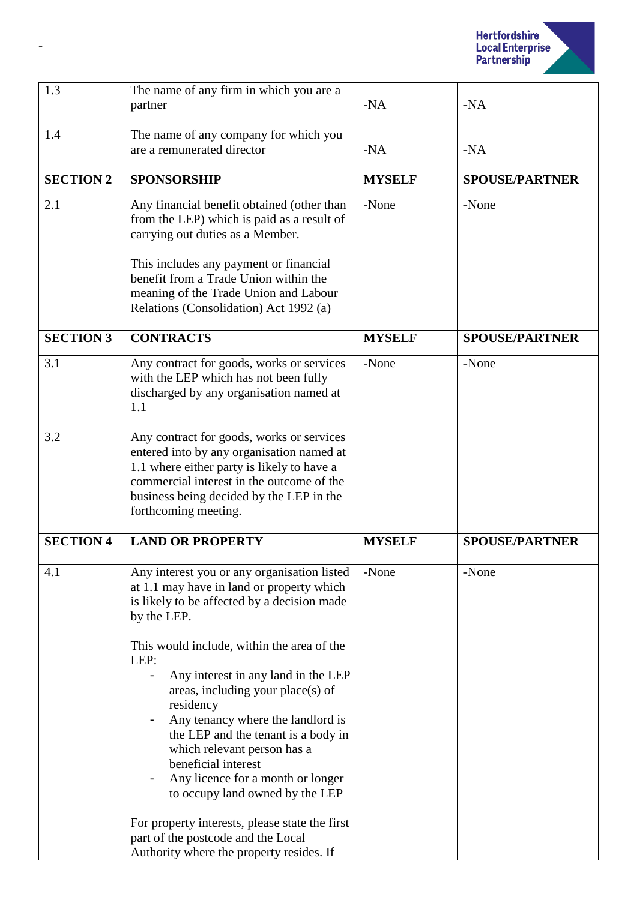

| The name of any firm in which you are a                                                                                                                                                                                                                                                                                                                                                                                                                                                                                                                                                                                                             |               |                       |
|-----------------------------------------------------------------------------------------------------------------------------------------------------------------------------------------------------------------------------------------------------------------------------------------------------------------------------------------------------------------------------------------------------------------------------------------------------------------------------------------------------------------------------------------------------------------------------------------------------------------------------------------------------|---------------|-----------------------|
| partner                                                                                                                                                                                                                                                                                                                                                                                                                                                                                                                                                                                                                                             | $-NA$         | $-NA$                 |
| The name of any company for which you<br>are a remunerated director                                                                                                                                                                                                                                                                                                                                                                                                                                                                                                                                                                                 | $-NA$         | $-NA$                 |
| <b>SPONSORSHIP</b>                                                                                                                                                                                                                                                                                                                                                                                                                                                                                                                                                                                                                                  | <b>MYSELF</b> | <b>SPOUSE/PARTNER</b> |
| Any financial benefit obtained (other than<br>from the LEP) which is paid as a result of<br>carrying out duties as a Member.<br>This includes any payment or financial<br>benefit from a Trade Union within the<br>meaning of the Trade Union and Labour<br>Relations (Consolidation) Act 1992 (a)                                                                                                                                                                                                                                                                                                                                                  | -None         | -None                 |
| <b>CONTRACTS</b>                                                                                                                                                                                                                                                                                                                                                                                                                                                                                                                                                                                                                                    | <b>MYSELF</b> | <b>SPOUSE/PARTNER</b> |
| Any contract for goods, works or services<br>with the LEP which has not been fully<br>discharged by any organisation named at<br>1.1                                                                                                                                                                                                                                                                                                                                                                                                                                                                                                                | -None         | -None                 |
| Any contract for goods, works or services<br>entered into by any organisation named at<br>1.1 where either party is likely to have a<br>commercial interest in the outcome of the<br>business being decided by the LEP in the<br>forthcoming meeting.                                                                                                                                                                                                                                                                                                                                                                                               |               |                       |
| <b>LAND OR PROPERTY</b>                                                                                                                                                                                                                                                                                                                                                                                                                                                                                                                                                                                                                             | <b>MYSELF</b> | <b>SPOUSE/PARTNER</b> |
| Any interest you or any organisation listed<br>at 1.1 may have in land or property which<br>is likely to be affected by a decision made<br>by the LEP.<br>This would include, within the area of the<br>LEP:<br>Any interest in any land in the LEP<br>areas, including your place(s) of<br>residency<br>Any tenancy where the landlord is<br>the LEP and the tenant is a body in<br>which relevant person has a<br>beneficial interest<br>Any licence for a month or longer<br>to occupy land owned by the LEP<br>For property interests, please state the first<br>part of the postcode and the Local<br>Authority where the property resides. If | -None         | -None                 |
|                                                                                                                                                                                                                                                                                                                                                                                                                                                                                                                                                                                                                                                     |               |                       |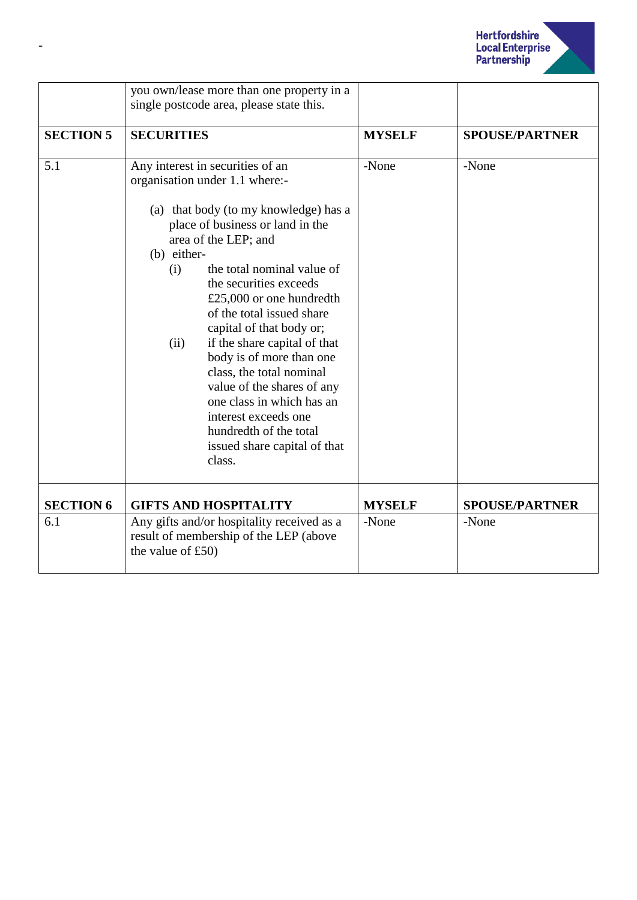

|                  | you own/lease more than one property in a<br>single postcode area, please state this.                                                                                                                                                                                                                                                                                                                                                                                                                                                                                                             |               |                       |
|------------------|---------------------------------------------------------------------------------------------------------------------------------------------------------------------------------------------------------------------------------------------------------------------------------------------------------------------------------------------------------------------------------------------------------------------------------------------------------------------------------------------------------------------------------------------------------------------------------------------------|---------------|-----------------------|
| <b>SECTION 5</b> | <b>SECURITIES</b>                                                                                                                                                                                                                                                                                                                                                                                                                                                                                                                                                                                 | <b>MYSELF</b> | <b>SPOUSE/PARTNER</b> |
| 5.1              | Any interest in securities of an<br>organisation under 1.1 where:-<br>(a) that body (to my knowledge) has a<br>place of business or land in the<br>area of the LEP; and<br>(b) either-<br>the total nominal value of<br>(i)<br>the securities exceeds<br>£25,000 or one hundredth<br>of the total issued share<br>capital of that body or;<br>if the share capital of that<br>(ii)<br>body is of more than one<br>class, the total nominal<br>value of the shares of any<br>one class in which has an<br>interest exceeds one<br>hundredth of the total<br>issued share capital of that<br>class. | -None         | -None                 |
| <b>SECTION 6</b> | <b>GIFTS AND HOSPITALITY</b>                                                                                                                                                                                                                                                                                                                                                                                                                                                                                                                                                                      | <b>MYSELF</b> | <b>SPOUSE/PARTNER</b> |
| 6.1              | Any gifts and/or hospitality received as a<br>result of membership of the LEP (above<br>the value of $£50)$                                                                                                                                                                                                                                                                                                                                                                                                                                                                                       | -None         | -None                 |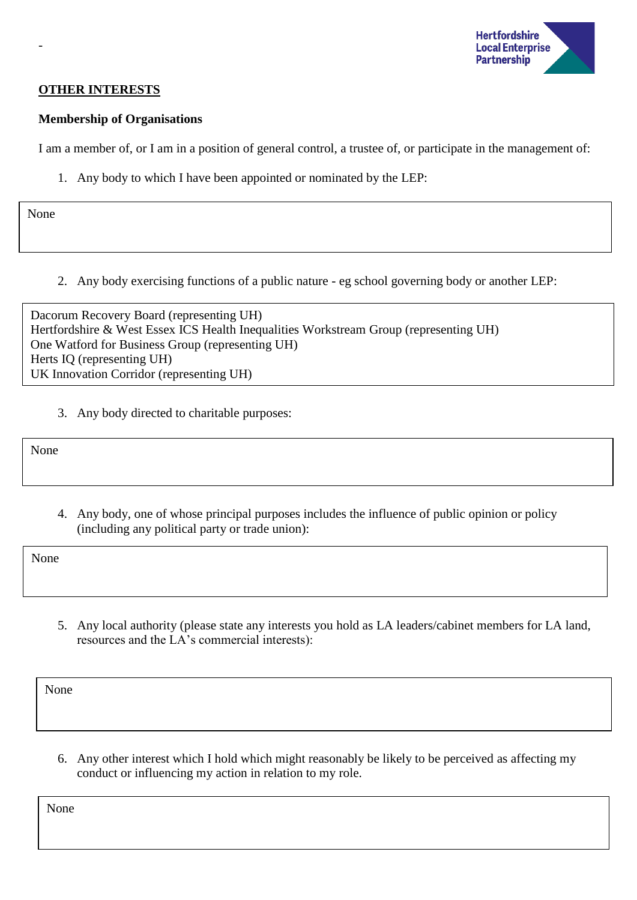

## **OTHER INTERESTS**

## **Membership of Organisations**

I am a member of, or I am in a position of general control, a trustee of, or participate in the management of:

1. Any body to which I have been appointed or nominated by the LEP:

None

-

2. Any body exercising functions of a public nature - eg school governing body or another LEP:

Dacorum Recovery Board (representing UH) Hertfordshire & West Essex ICS Health Inequalities Workstream Group (representing UH) One Watford for Business Group (representing UH) Herts IQ (representing UH) UK Innovation Corridor (representing UH)

3. Any body directed to charitable purposes:

None

4. Any body, one of whose principal purposes includes the influence of public opinion or policy (including any political party or trade union):

None

5. Any local authority (please state any interests you hold as LA leaders/cabinet members for LA land, resources and the LA's commercial interests):

None

6. Any other interest which I hold which might reasonably be likely to be perceived as affecting my conduct or influencing my action in relation to my role.

None